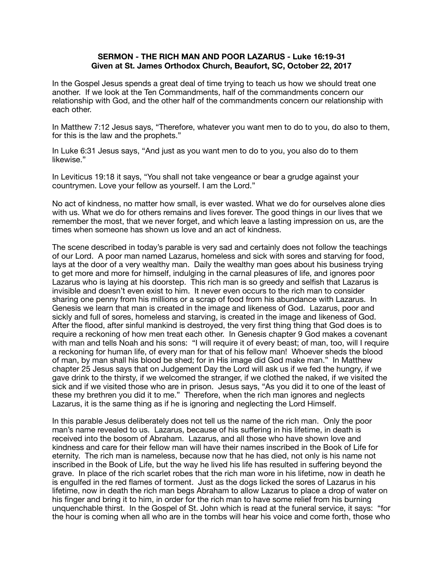## **SERMON - THE RICH MAN AND POOR LAZARUS - Luke 16:19-31 Given at St. James Orthodox Church, Beaufort, SC, October 22, 2017**

In the Gospel Jesus spends a great deal of time trying to teach us how we should treat one another. If we look at the Ten Commandments, half of the commandments concern our relationship with God, and the other half of the commandments concern our relationship with each other.

In Matthew 7:12 Jesus says, "Therefore, whatever you want men to do to you, do also to them, for this is the law and the prophets."

In Luke 6:31 Jesus says, "And just as you want men to do to you, you also do to them likewise."

In Leviticus 19:18 it says, "You shall not take vengeance or bear a grudge against your countrymen. Love your fellow as yourself. I am the Lord."

No act of kindness, no matter how small, is ever wasted. What we do for ourselves alone dies with us. What we do for others remains and lives forever. The good things in our lives that we remember the most, that we never forget, and which leave a lasting impression on us, are the times when someone has shown us love and an act of kindness.

The scene described in today's parable is very sad and certainly does not follow the teachings of our Lord. A poor man named Lazarus, homeless and sick with sores and starving for food, lays at the door of a very wealthy man. Daily the wealthy man goes about his business trying to get more and more for himself, indulging in the carnal pleasures of life, and ignores poor Lazarus who is laying at his doorstep. This rich man is so greedy and selfish that Lazarus is invisible and doesn't even exist to him. It never even occurs to the rich man to consider sharing one penny from his millions or a scrap of food from his abundance with Lazarus. In Genesis we learn that man is created in the image and likeness of God. Lazarus, poor and sickly and full of sores, homeless and starving, is created in the image and likeness of God. After the flood, after sinful mankind is destroyed, the very first thing thing that God does is to require a reckoning of how men treat each other. In Genesis chapter 9 God makes a covenant with man and tells Noah and his sons: "I will require it of every beast; of man, too, will I require a reckoning for human life, of every man for that of his fellow man! Whoever sheds the blood of man, by man shall his blood be shed; for in His image did God make man." In Matthew chapter 25 Jesus says that on Judgement Day the Lord will ask us if we fed the hungry, if we gave drink to the thirsty, if we welcomed the stranger, if we clothed the naked, if we visited the sick and if we visited those who are in prison. Jesus says, "As you did it to one of the least of these my brethren you did it to me." Therefore, when the rich man ignores and neglects Lazarus, it is the same thing as if he is ignoring and neglecting the Lord Himself.

In this parable Jesus deliberately does not tell us the name of the rich man. Only the poor man's name revealed to us. Lazarus, because of his suffering in his lifetime, in death is received into the bosom of Abraham. Lazarus, and all those who have shown love and kindness and care for their fellow man will have their names inscribed in the Book of Life for eternity. The rich man is nameless, because now that he has died, not only is his name not inscribed in the Book of Life, but the way he lived his life has resulted in suffering beyond the grave. In place of the rich scarlet robes that the rich man wore in his lifetime, now in death he is engulfed in the red flames of torment. Just as the dogs licked the sores of Lazarus in his lifetime, now in death the rich man begs Abraham to allow Lazarus to place a drop of water on his finger and bring it to him, in order for the rich man to have some relief from his burning unquenchable thirst. In the Gospel of St. John which is read at the funeral service, it says: "for the hour is coming when all who are in the tombs will hear his voice and come forth, those who